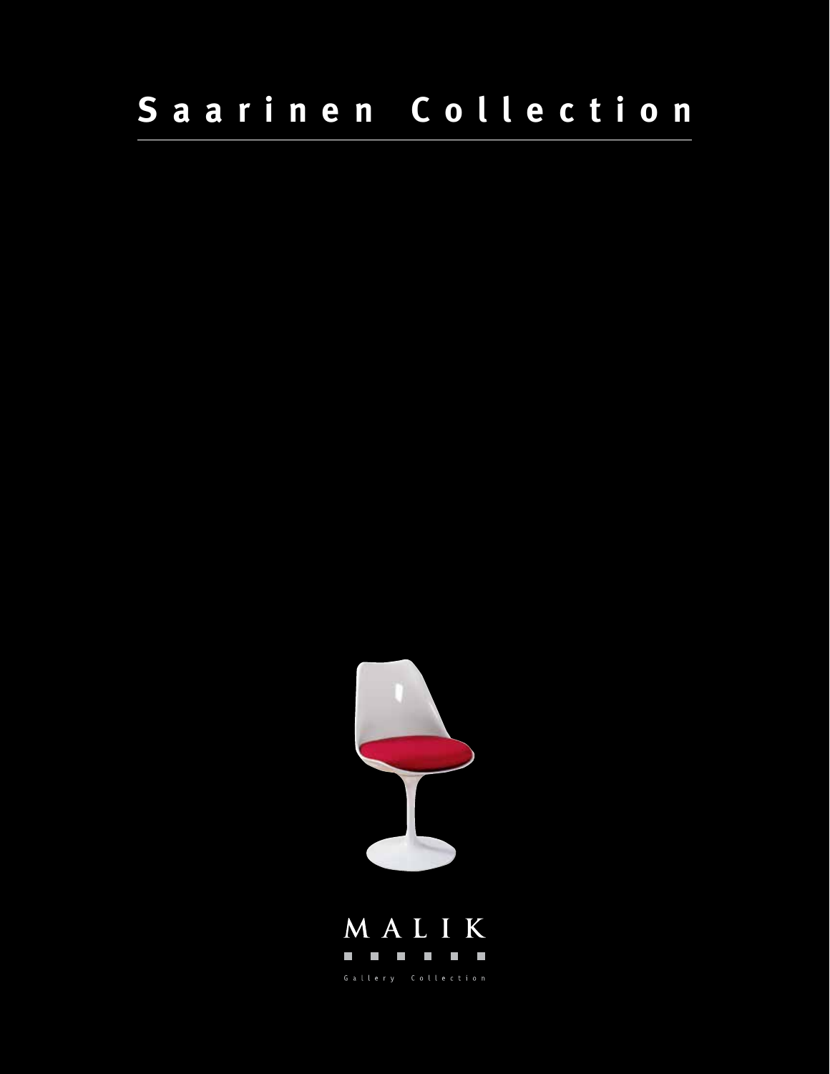## Saarinen Collection



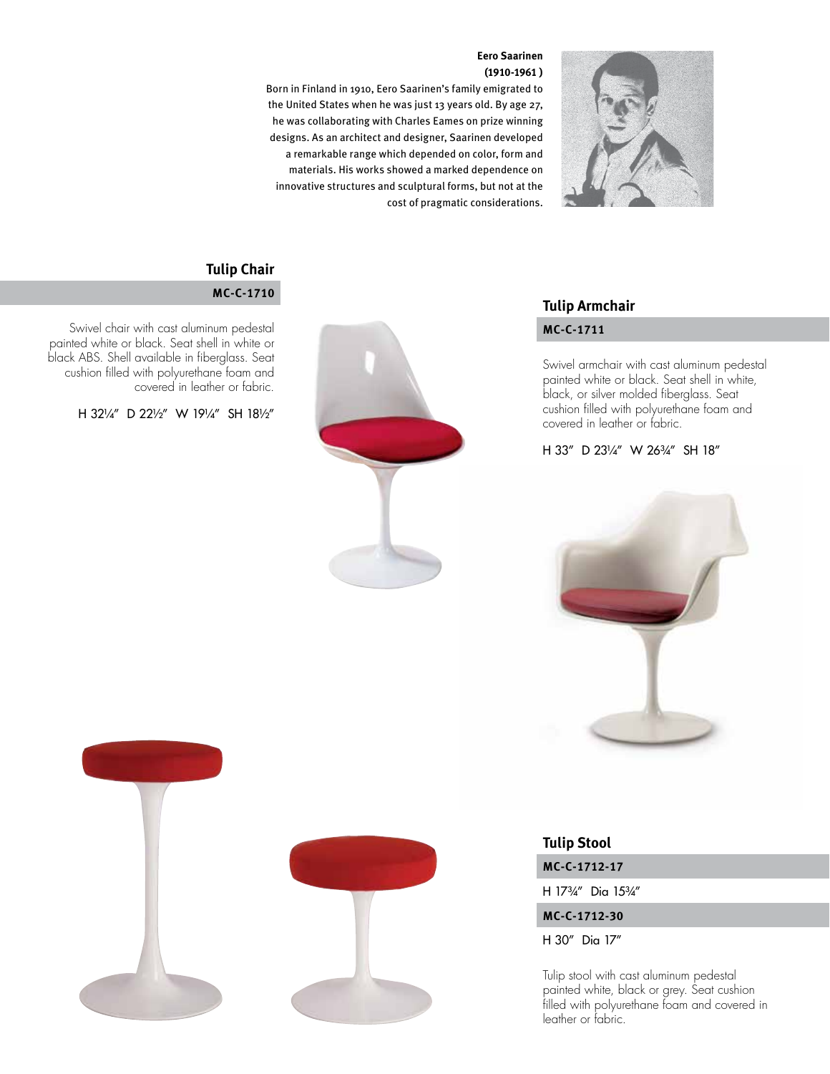#### **Eero Saarinen (1910-1961 )**



Born in Finland in 1910, Eero Saarinen's family emigrated to the United States when he was just 13 years old. By age 27, he was collaborating with Charles Eames on prize winning designs. As an architect and designer, Saarinen developed a remarkable range which depended on color, form and materials. His works showed a marked dependence on innovative structures and sculptural forms, but not at the cost of pragmatic considerations.

# **Tulip Armchair**

Swivel armchair with cast aluminum pedestal painted white or black. Seat shell in white, black, or silver molded fiberglass. Seat cushion filled with polyurethane foam and covered in leather or fabric.

#### H 33" D 231/4" W 263/4" SH 18"



### **Tulip Chair**

#### **MC-C-1710**

Swivel chair with cast aluminum pedestal **MC-C-1711** painted white or black. Seat shell in white or black ABS. Shell available in fiberglass. Seat cushion filled with polyurethane foam and covered in leather or fabric.

H 32¼" D 22½" W 19¼" SH 18½"



**MC-C-1712-17 Tulip Stool**

H 17¾" Dia 15¾"

**MC-C-1712-30**

H 30" Dia 17"

Tulip stool with cast aluminum pedestal painted white, black or grey. Seat cushion filled with polyurethane foam and covered in leather or fabric.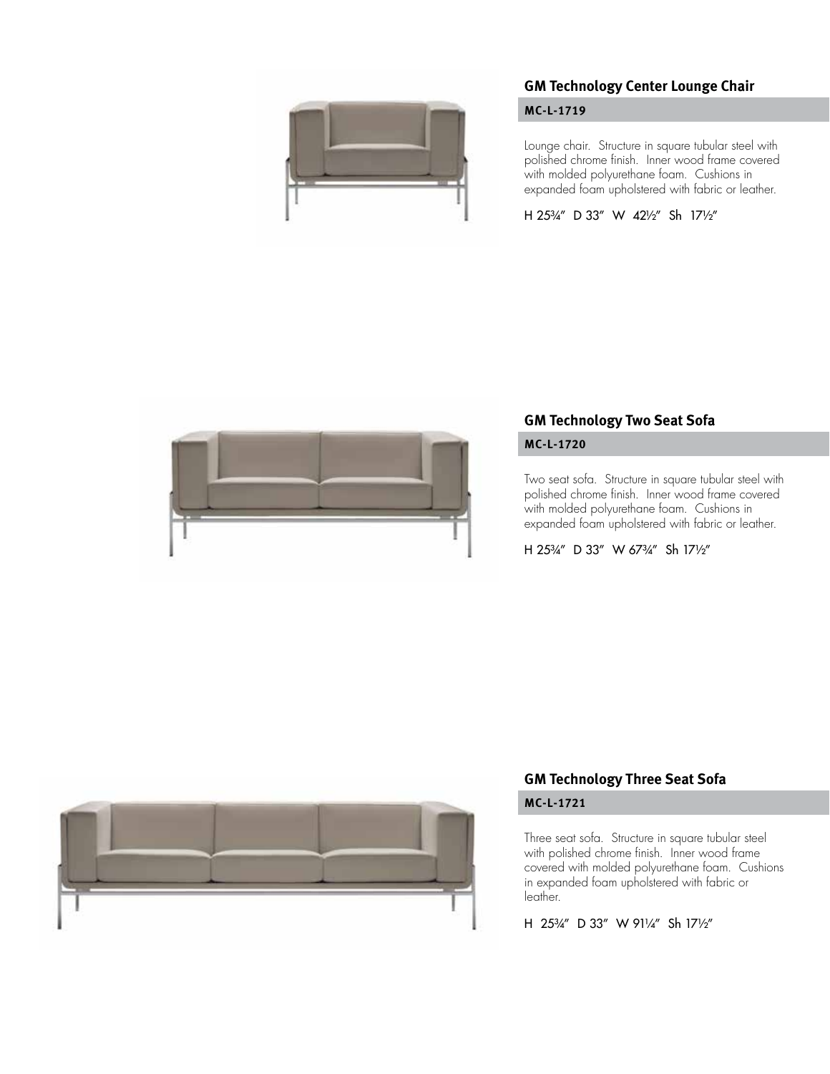

#### **GM Technology Center Lounge Chair**

#### **MC-L-1719**

Lounge chair. Structure in square tubular steel with polished chrome finish. Inner wood frame covered with molded polyurethane foam. Cushions in expanded foam upholstered with fabric or leather.

H 25¾" D 33" W 42½" Sh 17½"



#### **GM Technology Two Seat Sofa**

#### **MC-L-1720**

Two seat sofa. Structure in square tubular steel with polished chrome finish. Inner wood frame covered with molded polyurethane foam. Cushions in expanded foam upholstered with fabric or leather.

H 25¾" D 33" W 67¾" Sh 17½"



#### **GM Technology Three Seat Sofa**

#### **MC-L-1721**

Three seat sofa. Structure in square tubular steel with polished chrome finish. Inner wood frame covered with molded polyurethane foam. Cushions in expanded foam upholstered with fabric or leather.

H 25¾" D 33" W 91¼" Sh 17½"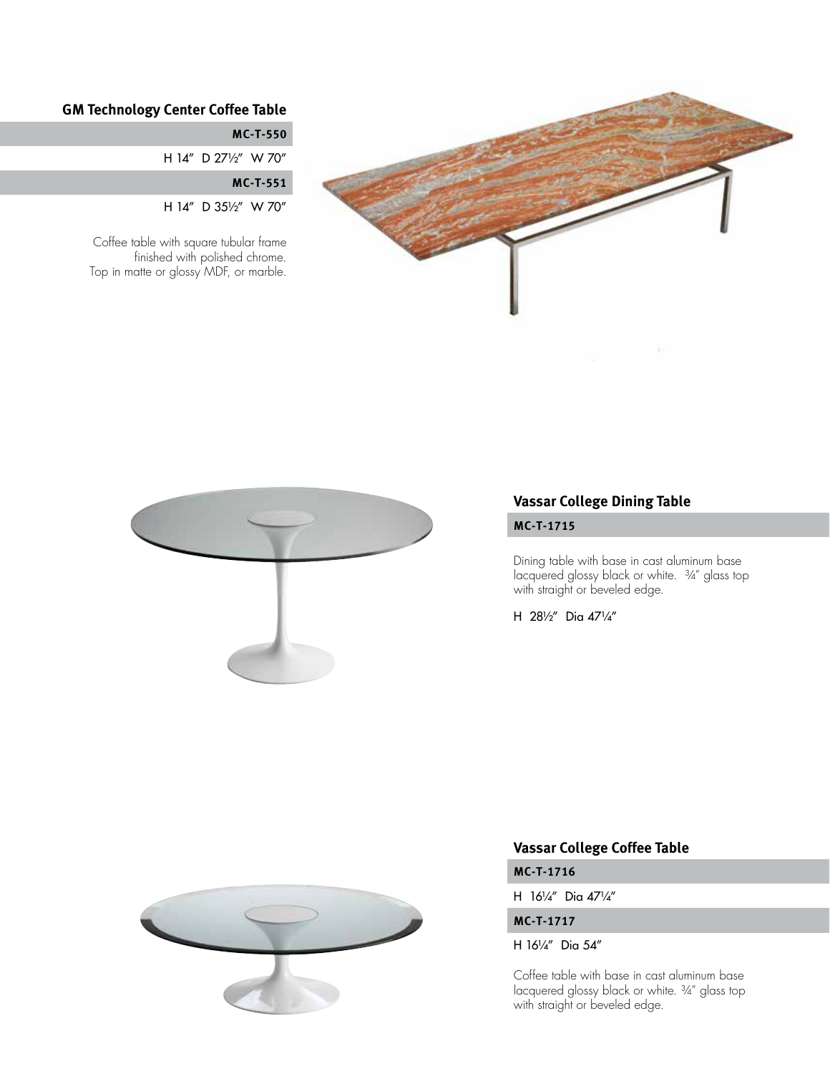

#### **GM Technology Center Coffee Table**

**MC-T-550**

H 14" D 27½" W 70"

**MC-T-551**

H 14" D 35½" W 70"

Coffee table with square tubular frame finished with polished chrome. Top in matte or glossy MDF, or marble.



#### **Vassar College Dining Table**

#### **MC-T-1715**

Dining table with base in cast aluminum base lacquered glossy black or white. <sup>3</sup>/4" glass top with straight or beveled edge.

H 28½" Dia 47¼"



#### **Vassar College Coffee Table**

**MC-T-1716**

H 16¼" Dia 47¼"

#### **MC-T-1717**

H 16¼" Dia 54"

Coffee table with base in cast aluminum base lacquered glossy black or white. ¾" glass top with straight or beveled edge.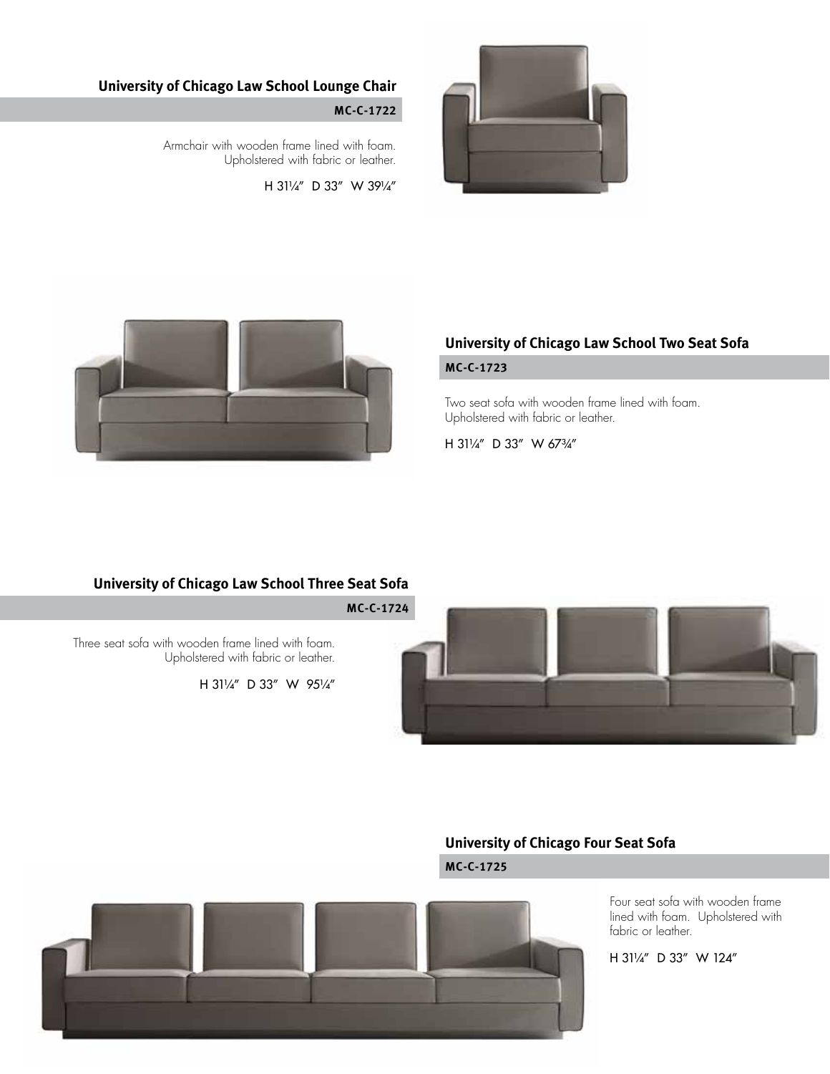

#### **University of Chicago Law School Lounge Chair**

#### **MC-C-1722**

Armchair with wooden frame lined with foam. Upholstered with fabric or leather.

H 31¼" D 33" W 39¼"



#### **University of Chicago Law School Two Seat Sofa**

#### **MC-C-1723**

Two seat sofa with wooden frame lined with foam. Upholstered with fabric or leather.

H 31¼" D 33" W 67¾"

#### **University of Chicago Law School Three Seat Sofa**



#### **MC-C-1724**

Three seat sofa with wooden frame lined with foam. Upholstered with fabric or leather.

H 31¼" D 33" W 95¼"

#### **University of Chicago Four Seat Sofa**

**MC-C-1725**

Four seat sofa with wooden frame lined with foam. Upholstered with fabric or leather.

H 31¼" D 33" W 124"

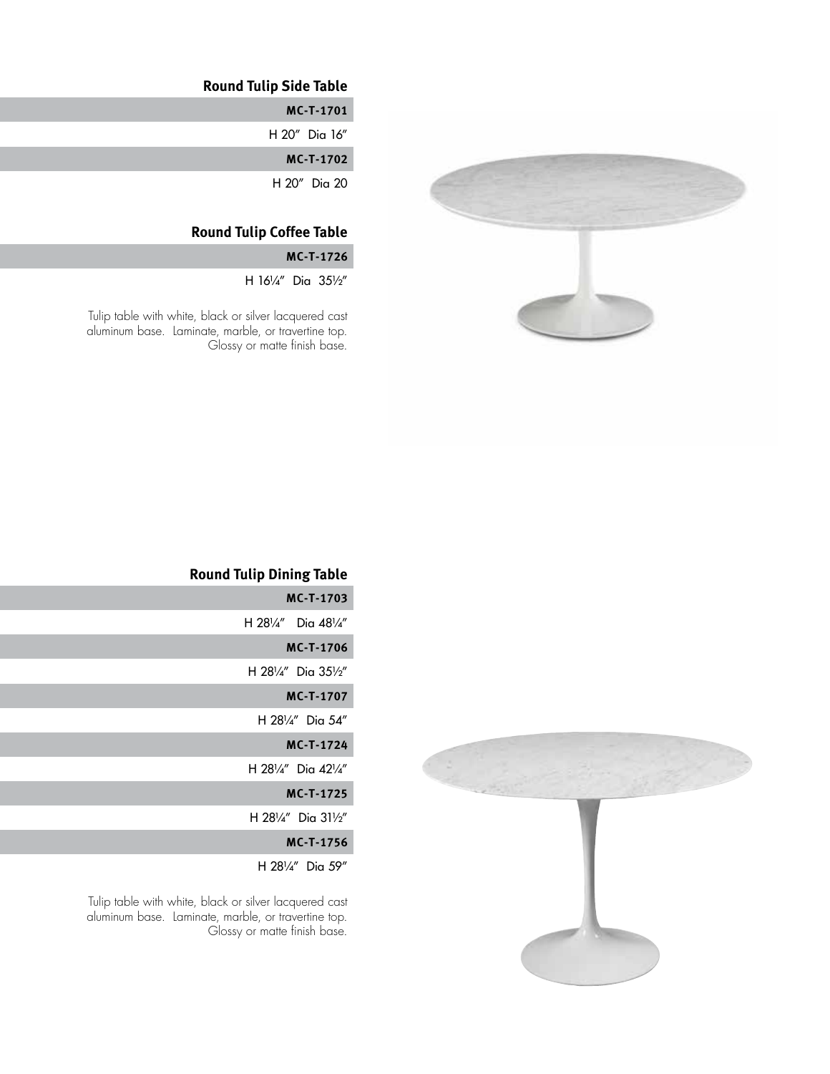

#### **Round Tulip Side Table**

**MC-T-1701**

H 20" Dia 16"

**MC-T-1702**

H 20" Dia 20

#### **Round Tulip Coffee Table**

**MC-T-1726**

H 16¼" Dia 35½"

Tulip table with white, black or silver lacquered cast aluminum base. Laminate, marble, or travertine top. Glossy or matte finish base.

#### **Round Tulip Dining Table**

| MC-T-1703                 |
|---------------------------|
| H 281/4" Dia 481/4"       |
| <b>MC-T-1706</b>          |
| H 281/4" Dia 351/2"       |
| <b>MC-T-1707</b>          |
| H $28\frac{1}{4}$ Dia 54" |
| <b>MC-T-1724</b>          |
| H 281/4" Dig $42^{1/4}$ " |
| <b>MC-T-1725</b>          |
| H 281/4" Dia 311/2"       |
| <b>MC-T-1756</b>          |
| H 281/4" Dia 59"          |

Tulip table with white, black or silver lacquered cast aluminum base. Laminate, marble, or travertine top. Glossy or matte finish base.

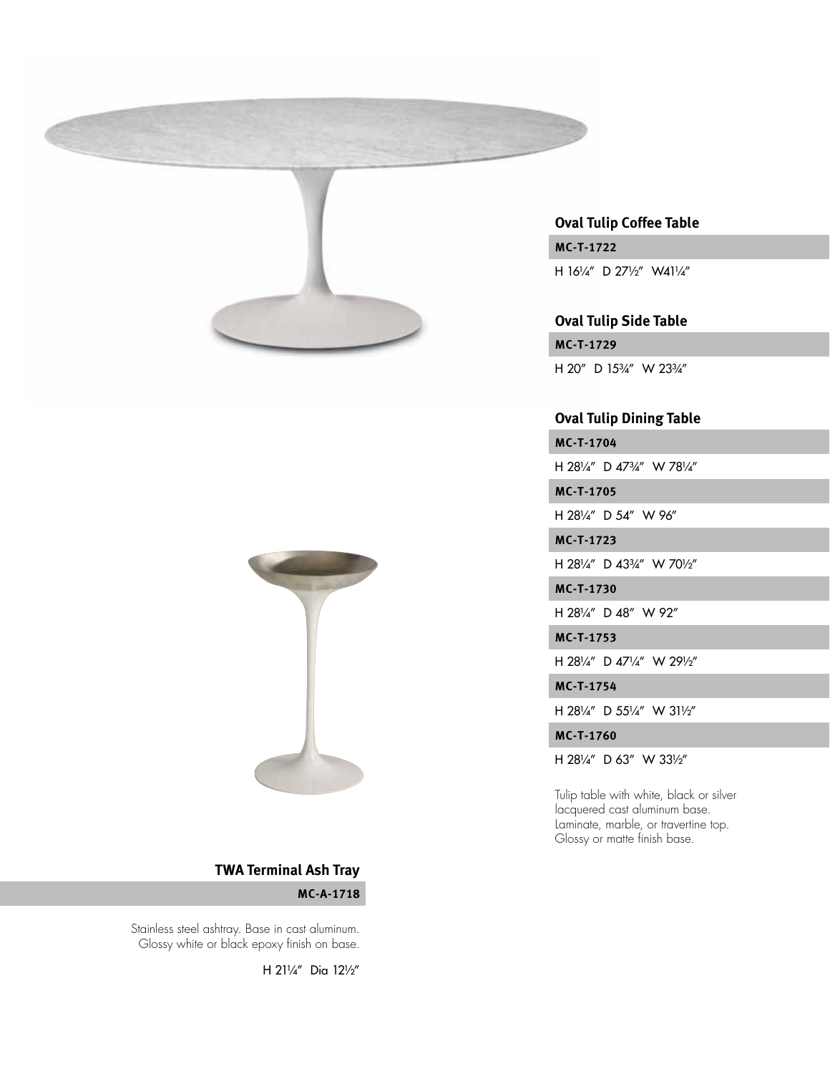



**MC-T-1722** H 16¼" D 27½" W41¼" **Oval Tulip Coffee Table**

**Oval Tulip Side Table**

**MC-T-1729** H 20" D 153/4" W 233/4"

#### **Oval Tulip Dining Table**

**MC-T-1704**

H 28¼" D 47¾" W 78¼"

**MC-T-1705**

H 281/4" D 54" W 96"

**MC-T-1723**

H 28¼" D 43¾" W 70½"

**MC-T-1730**

H 28¼" D 48" W 92"

**MC-T-1753**

H 28¼" D 47¼" W 29½"

**MC-T-1754**

H 28¼" D 55¼" W 31½"

**MC-T-1760**

H 28¼" D 63" W 33½"

Tulip table with white, black or silver lacquered cast aluminum base. Laminate, marble, or travertine top. Glossy or matte finish base.

#### **TWA Terminal Ash Tray**

**MC-A-1718**

Stainless steel ashtray. Base in cast aluminum. Glossy white or black epoxy finish on base.

H 21¼" Dia 12½"